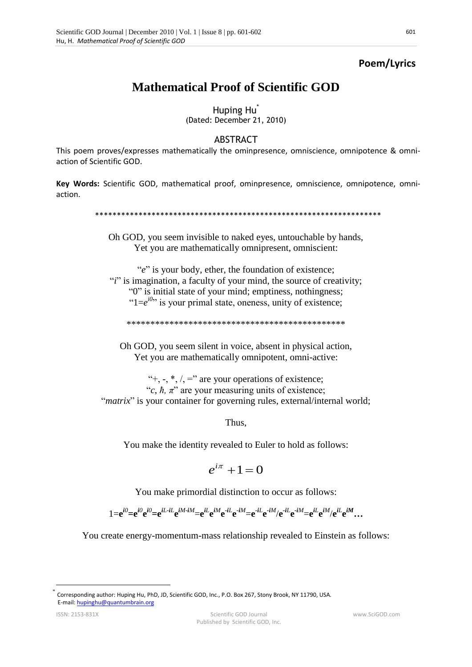## Poem/Lyrics

## **Mathematical Proof of Scientific GOD**

Huping Hu<sup>\*</sup> (Dated: December 21, 2010)

## ABSTRACT

This poem proves/expresses mathematically the ominpresence, omniscience, omnipotence & omniaction of Scientific GOD.

Key Words: Scientific GOD, mathematical proof, ominpresence, omniscience, omnipotence, omniaction.

## 

Oh GOD, you seem invisible to naked eyes, untouchable by hands, Yet you are mathematically omnipresent, omniscient:

"e" is your body, ether, the foundation of existence; "*i*" is imagination, a faculty of your mind, the source of creativity; "0" is initial state of your mind; emptiness, nothingness; " $1=e^{i\theta}$ " is your primal state, oneness, unity of existence;

Oh GOD, you seem silent in voice, absent in physical action, Yet you are mathematically omnipotent, omni-active:

"+, -,  $*, \ell$ , =" are your operations of existence; "c,  $\hbar$ ,  $\pi$ " are your measuring units of existence; "*matrix*" is your container for governing rules, external/internal world;

Thus.

You make the identity revealed to Euler to hold as follows:

$$
e^{i\pi} + 1 = 0
$$

You make primordial distinction to occur as follows:

 $1 = e^{i\theta} = e^{i\theta}e^{i\theta} = e^{iL \cdot iL}e^{iM \cdot iM} = e^{iL}e^{iM}e^{-iL}e^{-iM} = e^{-iL}e^{-iM}/e^{-iL}e^{-iM} = e^{iL}e^{iM}/e^{iL}e^{iM}$ 

You create energy-momentum-mass relationship revealed to Einstein as follows:

Corresponding author: Huping Hu, PhD, JD, Scientific GOD, Inc., P.O. Box 267, Stony Brook, NY 11790, USA. E-mail: hupinghu@quantumbrain.org